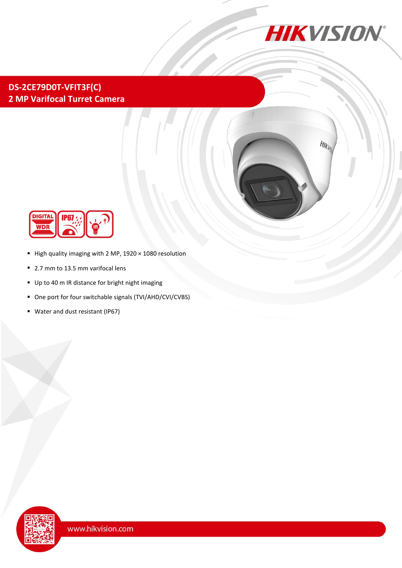

## **DS-2CE79D0T-VFIT3F(C) 2 MP Varifocal Turret Camera**





- $\blacksquare$  High quality imaging with 2 MP, 1920  $\times$  1080 resolution
- 2.7 mm to 13.5 mm varifocal lens
- Up to 40 m IR distance for bright night imaging
- One port for four switchable signals (TVI/AHD/CVI/CVBS)
- Water and dust resistant (IP67)

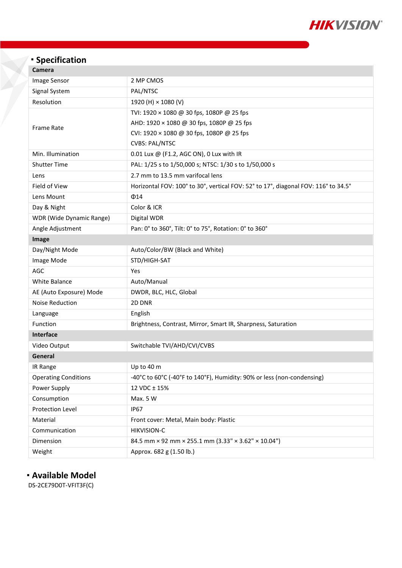

# **Specification**<br>Camera

| Camera |  |
|--------|--|

| <b>Image Sensor</b>         | 2 MP CMOS                                                                          |  |  |  |  |
|-----------------------------|------------------------------------------------------------------------------------|--|--|--|--|
| Signal System               | PAL/NTSC                                                                           |  |  |  |  |
| Resolution                  | 1920 (H) × 1080 (V)                                                                |  |  |  |  |
|                             | TVI: 1920 × 1080 @ 30 fps, 1080P @ 25 fps                                          |  |  |  |  |
| <b>Frame Rate</b>           | AHD: 1920 × 1080 @ 30 fps, 1080P @ 25 fps                                          |  |  |  |  |
|                             | CVI: 1920 × 1080 @ 30 fps, 1080P @ 25 fps                                          |  |  |  |  |
|                             | <b>CVBS: PAL/NTSC</b>                                                              |  |  |  |  |
| Min. Illumination           | 0.01 Lux @ (F1.2, AGC ON), 0 Lux with IR                                           |  |  |  |  |
| <b>Shutter Time</b>         | PAL: 1/25 s to 1/50,000 s; NTSC: 1/30 s to 1/50,000 s                              |  |  |  |  |
| Lens                        | 2.7 mm to 13.5 mm varifocal lens                                                   |  |  |  |  |
|                             |                                                                                    |  |  |  |  |
| Field of View               | Horizontal FOV: 100° to 30°, vertical FOV: 52° to 17°, diagonal FOV: 116° to 34.5° |  |  |  |  |
| Lens Mount                  | $\Phi$ 14                                                                          |  |  |  |  |
| Day & Night                 | Color & ICR                                                                        |  |  |  |  |
| WDR (Wide Dynamic Range)    | Digital WDR                                                                        |  |  |  |  |
| Angle Adjustment            | Pan: 0° to 360°, Tilt: 0° to 75°, Rotation: 0° to 360°                             |  |  |  |  |
| Image                       |                                                                                    |  |  |  |  |
| Day/Night Mode              | Auto/Color/BW (Black and White)                                                    |  |  |  |  |
| Image Mode                  | STD/HIGH-SAT                                                                       |  |  |  |  |
| AGC                         | Yes                                                                                |  |  |  |  |
| White Balance               | Auto/Manual                                                                        |  |  |  |  |
| AE (Auto Exposure) Mode     | DWDR, BLC, HLC, Global                                                             |  |  |  |  |
| Noise Reduction             | 2D DNR                                                                             |  |  |  |  |
| Language                    | English                                                                            |  |  |  |  |
| Function                    | Brightness, Contrast, Mirror, Smart IR, Sharpness, Saturation                      |  |  |  |  |
| <b>Interface</b>            |                                                                                    |  |  |  |  |
| Video Output                | Switchable TVI/AHD/CVI/CVBS                                                        |  |  |  |  |
| General                     |                                                                                    |  |  |  |  |
| IR Range                    | Up to 40 m                                                                         |  |  |  |  |
| <b>Operating Conditions</b> | -40°C to 60°C (-40°F to 140°F), Humidity: 90% or less (non-condensing)             |  |  |  |  |
| Power Supply                | 12 VDC ± 15%                                                                       |  |  |  |  |
| Consumption                 | Max. 5 W                                                                           |  |  |  |  |
| Protection Level            | <b>IP67</b>                                                                        |  |  |  |  |
| Material                    | Front cover: Metal, Main body: Plastic                                             |  |  |  |  |
| Communication               | <b>HIKVISION-C</b>                                                                 |  |  |  |  |
| Dimension                   | 84.5 mm × 92 mm × 255.1 mm (3.33" × 3.62" × 10.04")                                |  |  |  |  |
| Weight                      | Approx. 682 g (1.50 lb.)                                                           |  |  |  |  |
|                             |                                                                                    |  |  |  |  |

### **Available Model**

DS-2CE79D0T-VFIT3F(C)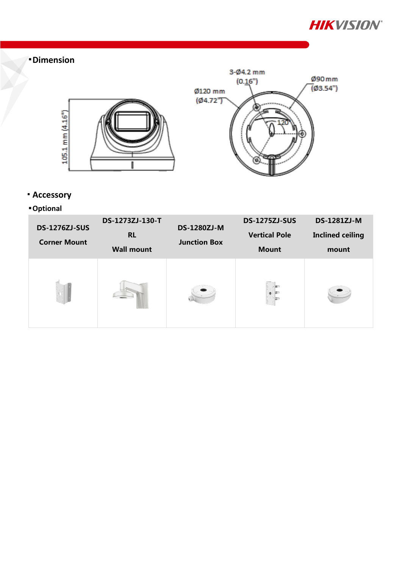

# **Dimension**



- **Accessory**
- **Optional**

| <b>DS-1276ZJ-SUS</b><br><b>Corner Mount</b> | DS-1273ZJ-130-T<br><b>RL</b><br><b>Wall mount</b> | <b>DS-1280ZJ-M</b><br><b>Junction Box</b> | <b>DS-1275ZJ-SUS</b><br><b>Vertical Pole</b><br><b>Mount</b> | <b>DS-1281ZJ-M</b><br><b>Inclined ceiling</b><br>mount |
|---------------------------------------------|---------------------------------------------------|-------------------------------------------|--------------------------------------------------------------|--------------------------------------------------------|
|                                             |                                                   |                                           |                                                              |                                                        |